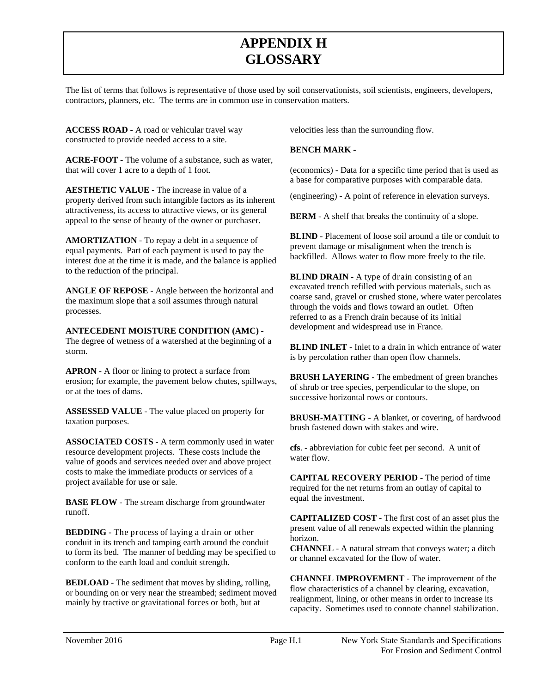## **GLOSSARYAPPENDIX H**

The list of terms that follows is representative of those used by soil conservationists, soil scientists, engineers, developers, contractors, planners, etc. The terms are in common use in conservation matters.

**ACCESS ROAD** - A road or vehicular travel way constructed to provide needed access to a site.

**ACRE-FOOT** - The volume of a substance, such as water, that will cover 1 acre to a depth of 1 foot.

**AESTHETIC VALUE** - The increase in value of a property derived from such intangible factors as its inherent attractiveness, its access to attractive views, or its general appeal to the sense of beauty of the owner or purchaser.

**AMORTIZATION** - To repay a debt in a sequence of equal payments. Part of each payment is used to pay the interest due at the time it is made, and the balance is applied to the reduction of the principal.

**ANGLE OF REPOSE** - Angle between the horizontal and the maximum slope that a soil assumes through natural processes.

**ANTECEDENT MOISTURE CONDITION (AMC)** - The degree of wetness of a watershed at the beginning of a storm.

**APRON** - A floor or lining to protect a surface from erosion; for example, the pavement below chutes, spillways, or at the toes of dams.

**ASSESSED VALUE** - The value placed on property for taxation purposes.

 resource development projects. These costs include the **ASSOCIATED COSTS** - A term commonly used in water value of goods and services needed over and above project costs to make the immediate products or services of a project available for use or sale.

**BASE FLOW** - The stream discharge from groundwater runoff.

 **BEDDING -** The process of laying a drain or other conduit in its trench and tamping earth around the conduit to form its bed. The manner of bedding may be specified to conform to the earth load and conduit strength.

or bounding on or very near the streambed; sediment moved mainly by tractive or gravitational forces or both, but at

velocities less than the surrounding flow.

#### **BENCH MARK -**

(economics) - Data for a specific time period that is used as a base for comparative purposes with comparable data.

(engineering) - A point of reference in elevation surveys.

**BERM** - A shelf that breaks the continuity of a slope.

**BLIND** - Placement of loose soil around a tile or conduit to prevent damage or misalignment when the trench is backfilled. Allows water to flow more freely to the tile.

 excavated trench refilled with pervious materials, such as **BLIND DRAIN - A type of drain consisting of an** coarse sand, gravel or crushed stone, where water percolates through the voids and flows toward an outlet. Often referred to as a French drain because of its initial development and widespread use in France.

 **BLIND INLET** - Inlet to a drain in which entrance of water is by percolation rather than open flow channels.

 of shrub or tree species, perpendicular to the slope, on **BRUSH LAYERING** - The embedment of green branches successive horizontal rows or contours.

 brush fastened down with stakes and wire. **BRUSH-MATTING** - A blanket, or covering, of hardwood

 **cfs**. - abbreviation for cubic feet per second. A unit of water flow.

**CAPITAL RECOVERY PERIOD** - The period of time required for the net returns from an outlay of capital to equal the investment.

**CAPITALIZED COST** - The first cost of an asset plus the present value of all renewals expected within the planning horizon.

**CHANNEL** - A natural stream that conveys water; a ditch or channel excavated for the flow of water.

**BEDLOAD** - The sediment that moves by sliding, rolling,<br>or bounding on or very near the streambed; sediment moved<br>mainly by tractive or gravitational forces or both, but at<br>realignment, lining, or other means in order to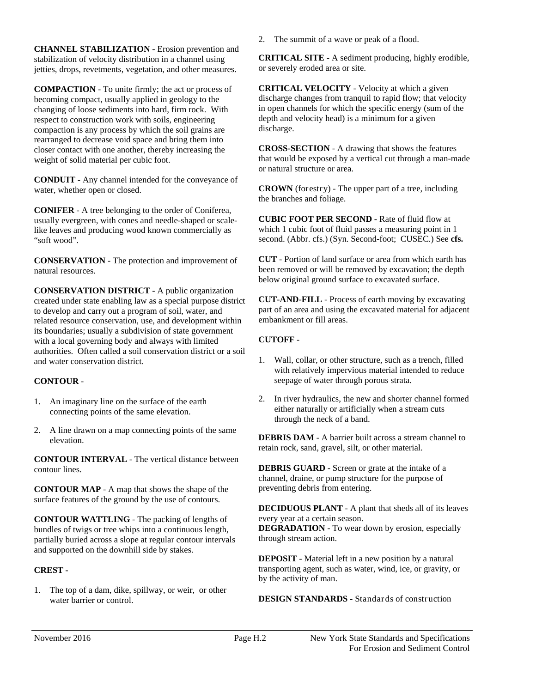**CHANNEL STABILIZATION** - Erosion prevention and stabilization of velocity distribution in a channel using jetties, drops, revetments, vegetation, and other measures.

 **COMPACTION** - To unite firmly; the act or process of becoming compact, usually applied in geology to the changing of loose sediments into hard, firm rock. With respect to construction work with soils, engineering compaction is any process by which the soil grains are rearranged to decrease void space and bring them into closer contact with one another, thereby increasing the weight of solid material per cubic foot.

**CONDUIT** - Any channel intended for the conveyance of water, whether open or closed.

**CONIFER** - A tree belonging to the order of Coniferea, usually evergreen, with cones and needle-shaped or scalelike leaves and producing wood known commercially as "soft wood".

 **CONSERVATION** - The protection and improvement of natural resources.

 to develop and carry out a program of soil, water, and **CONSERVATION DISTRICT** - A public organization created under state enabling law as a special purpose district related resource conservation, use, and development within its boundaries; usually a subdivision of state government with a local governing body and always with limited authorities. Often called a soil conservation district or a soil and water conservation district.

#### **CONTOUR** -

- 1. An imaginary line on the surface of the earth connecting points of the same elevation.
- 2.A line drawn on a map connecting points of the same elevation.

**CONTOUR INTERVAL** - The vertical distance between contour lines.

**CONTOUR MAP** - A map that shows the shape of the surface features of the ground by the use of contours.

 **CONTOUR WATTLING** - The packing of lengths of bundles of twigs or tree whips into a continuous length, partially buried across a slope at regular contour intervals and supported on the downhill side by stakes.

#### **CREST -**

1. The top of a dam, dike, spillway, or weir, or other water barrier or control.

 2.The summit of a wave or peak of a flood.

**CRITICAL SITE** - A sediment producing, highly erodible, or severely eroded area or site.

 discharge changes from tranquil to rapid flow; that velocity **CRITICAL VELOCITY** - Velocity at which a given in open channels for which the specific energy (sum of the depth and velocity head) is a minimum for a given discharge.

**CROSS-SECTION** - A drawing that shows the features that would be exposed by a vertical cut through a man-made or natural structure or area.

**CROWN** (forestry) - The upper part of a tree, including the branches and foliage.

 which 1 cubic foot of fluid passes a measuring point in 1 **CUBIC FOOT PER SECOND** - Rate of fluid flow at second. (Abbr. cfs.) (Syn. Second-foot; CUSEC.) See **cfs.** 

**CUT** - Portion of land surface or area from which earth has been removed or will be removed by excavation; the depth below original ground surface to excavated surface.

**CUT-AND-FILL** - Process of earth moving by excavating part of an area and using the excavated material for adjacent embankment or fill areas.

### **CUTOFF** -

- 1. Wall, collar, or other structure, such as a trench, filled with relatively impervious material intended to reduce seepage of water through porous strata.
- 2.In river hydraulics, the new and shorter channel formed either naturally or artificially when a stream cuts through the neck of a band.

**DEBRIS DAM** - A barrier built across a stream channel to retain rock, sand, gravel, silt, or other material.

 **DEBRIS GUARD** - Screen or grate at the intake of a channel, draine, or pump structure for the purpose of preventing debris from entering.

**DECIDUOUS PLANT** - A plant that sheds all of its leaves every year at a certain season. **DEGRADATION** - To wear down by erosion, especially through stream action.

**DEPOSIT** - Material left in a new position by a natural transporting agent, such as water, wind, ice, or gravity, or by the activity of man.

**DESIGN STANDARDS -** Standards of construction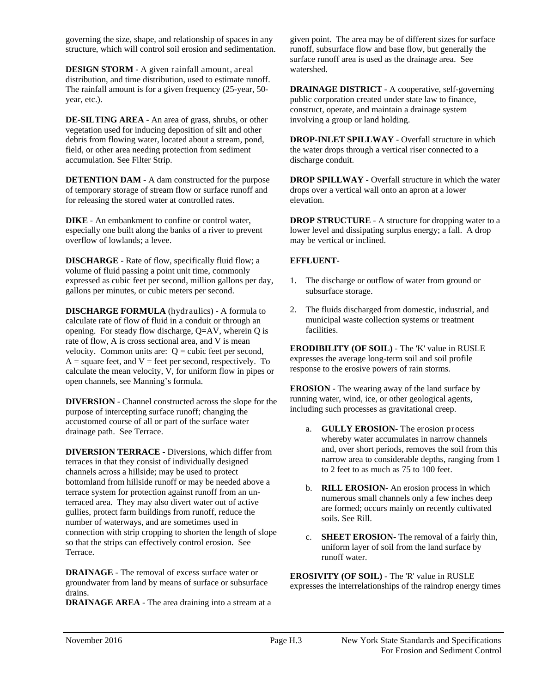governing the size, shape, and relationship of spaces in any structure, which will control soil erosion and sedimentation.

**DESIGN STORM - A given rainfall amount, areal** distribution, and time distribution, used to estimate runoff. The rainfall amount is for a given frequency (25-year, 50 year, etc.).

 **DE-SILTING AREA** - An area of grass, shrubs, or other field, or other area needing protection from sediment vegetation used for inducing deposition of silt and other debris from flowing water, located about a stream, pond, accumulation. See Filter Strip.

**DETENTION DAM** - A dam constructed for the purpose of temporary storage of stream flow or surface runoff and for releasing the stored water at controlled rates.

**DIKE** - An embankment to confine or control water, especially one built along the banks of a river to prevent overflow of lowlands; a levee.

**DISCHARGE** - Rate of flow, specifically fluid flow; a volume of fluid passing a point unit time, commonly expressed as cubic feet per second, million gallons per day, gallons per minutes, or cubic meters per second.

 calculate rate of flow of fluid in a conduit or through an velocity. Common units are:  $Q = cubic$  feet per second, calculate the mean velocity, V, for uniform flow in pipes or **DISCHARGE FORMULA** (hydraulics) - A formula to opening. For steady flow discharge, Q=AV, wherein Q is rate of flow, A is cross sectional area, and V is mean  $A = square$  feet, and  $V =$  feet per second, respectively. To open channels, see Manning's formula.

**DIVERSION** - Channel constructed across the slope for the purpose of intercepting surface runoff; changing the accustomed course of all or part of the surface water drainage path. See Terrace.

**DIVERSION TERRACE** - Diversions, which differ from terraces in that they consist of individually designed channels across a hillside; may be used to protect bottomland from hillside runoff or may be needed above a terrace system for protection against runoff from an unterraced area. They may also divert water out of active gullies, protect farm buildings from runoff, reduce the number of waterways, and are sometimes used in connection with strip cropping to shorten the length of slope so that the strips can effectively control erosion. See Terrace.

**DRAINAGE** - The removal of excess surface water or groundwater from land by means of surface or subsurface drains.

**DRAINAGE AREA** - The area draining into a stream at a

 given point. The area may be of different sizes for surface runoff, subsurface flow and base flow, but generally the surface runoff area is used as the drainage area. See watershed.

**DRAINAGE DISTRICT** - A cooperative, self-governing public corporation created under state law to finance, construct, operate, and maintain a drainage system involving a group or land holding.

**DROP-INLET SPILLWAY** - Overfall structure in which the water drops through a vertical riser connected to a discharge conduit.

**DROP SPILLWAY** - Overfall structure in which the water drops over a vertical wall onto an apron at a lower elevation.

**DROP STRUCTURE** - A structure for dropping water to a lower level and dissipating surplus energy; a fall. A drop may be vertical or inclined.

### **EFFLUENT**-

- 1.The discharge or outflow of water from ground or subsurface storage.
- 2.The fluids discharged from domestic, industrial, and municipal waste collection systems or treatment facilities.

**ERODIBILITY (OF SOIL)** - The 'K' value in RUSLE expresses the average long-term soil and soil profile response to the erosive powers of rain storms.

 running water, wind, ice, or other geological agents, **EROSION** - The wearing away of the land surface by including such processes as gravitational creep.

- and, over short periods, removes the soil from this a. **GULLY EROSION-** The erosion process whereby water accumulates in narrow channels narrow area to considerable depths, ranging from 1 to 2 feet to as much as 75 to 100 feet.
- b.**RILL EROSION** An erosion process in which numerous small channels only a few inches deep are formed; occurs mainly on recently cultivated soils. See Rill.
- c. **SHEET EROSION** The removal of a fairly thin, uniform layer of soil from the land surface by runoff water.

**EROSIVITY (OF SOIL)** - The 'R' value in RUSLE expresses the interrelationships of the raindrop energy times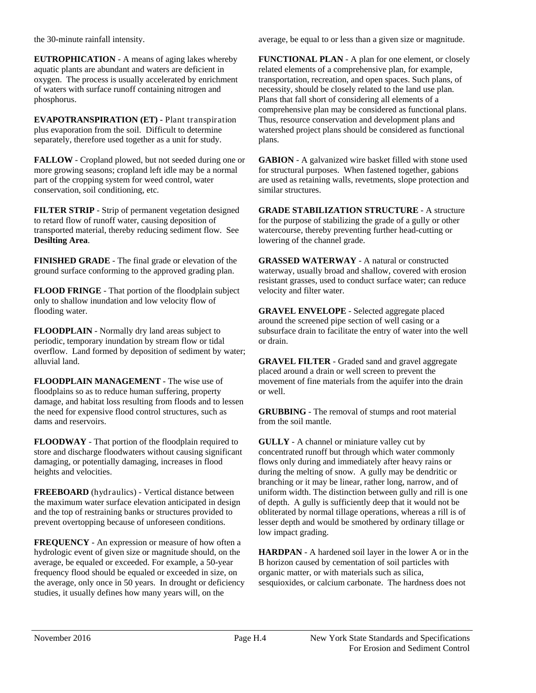the 30-minute rainfall intensity.

**EUTROPHICATION** - A means of aging lakes whereby aquatic plants are abundant and waters are deficient in oxygen. The process is usually accelerated by enrichment of waters with surface runoff containing nitrogen and phosphorus.

**EVAPOTRANSPIRATION (ET) -** Plant transpiration plus evaporation from the soil. Difficult to determine separately, therefore used together as a unit for study.

**FALLOW** - Cropland plowed, but not seeded during one or more growing seasons; cropland left idle may be a normal part of the cropping system for weed control, water conservation, soil conditioning, etc.

 to retard flow of runoff water, causing deposition of **FILTER STRIP** - Strip of permanent vegetation designed transported material, thereby reducing sediment flow. See **Desilting Area**.

**FINISHED GRADE** - The final grade or elevation of the ground surface conforming to the approved grading plan.

**FLOOD FRINGE** - That portion of the floodplain subject only to shallow inundation and low velocity flow of flooding water.

 periodic, temporary inundation by stream flow or tidal **FLOODPLAIN** - Normally dry land areas subject to overflow. Land formed by deposition of sediment by water; alluvial land.

**FLOODPLAIN MANAGEMENT** - The wise use of floodplains so as to reduce human suffering, property damage, and habitat loss resulting from floods and to lessen the need for expensive flood control structures, such as dams and reservoirs.

 damaging, or potentially damaging, increases in flood **FLOODWAY** - That portion of the floodplain required to store and discharge floodwaters without causing significant heights and velocities.

 and the top of restraining banks or structures provided to **FREEBOARD** (hydraulics) - Vertical distance between the maximum water surface elevation anticipated in design prevent overtopping because of unforeseen conditions.

 frequency flood should be equaled or exceeded in size, on **FREQUENCY** - An expression or measure of how often a hydrologic event of given size or magnitude should, on the average, be equaled or exceeded. For example, a 50-year the average, only once in 50 years. In drought or deficiency studies, it usually defines how many years will, on the

average, be equal to or less than a given size or magnitude.

 comprehensive plan may be considered as functional plans. **FUNCTIONAL PLAN** - A plan for one element, or closely related elements of a comprehensive plan, for example, transportation, recreation, and open spaces. Such plans, of necessity, should be closely related to the land use plan. Plans that fall short of considering all elements of a Thus, resource conservation and development plans and watershed project plans should be considered as functional plans.

**GABION** - A galvanized wire basket filled with stone used for structural purposes. When fastened together, gabions are used as retaining walls, revetments, slope protection and similar structures.

 lowering of the channel grade. **GRADE STABILIZATION STRUCTURE** - A structure for the purpose of stabilizing the grade of a gully or other watercourse, thereby preventing further head-cutting or

**GRASSED WATERWAY** - A natural or constructed waterway, usually broad and shallow, covered with erosion resistant grasses, used to conduct surface water; can reduce velocity and filter water.

**GRAVEL ENVELOPE** - Selected aggregate placed around the screened pipe section of well casing or a subsurface drain to facilitate the entry of water into the well or drain.

**GRAVEL FILTER** - Graded sand and gravel aggregate placed around a drain or well screen to prevent the movement of fine materials from the aquifer into the drain or well.

**GRUBBING** - The removal of stumps and root material from the soil mantle.

 **GULLY** - A channel or miniature valley cut by concentrated runoff but through which water commonly uniform width. The distinction between gully and rill is one lesser depth and would be smothered by ordinary tillage or flows only during and immediately after heavy rains or during the melting of snow. A gully may be dendritic or branching or it may be linear, rather long, narrow, and of of depth. A gully is sufficiently deep that it would not be obliterated by normal tillage operations, whereas a rill is of low impact grading.

 sesquioxides, or calcium carbonate. The hardness does not **HARDPAN** - A hardened soil layer in the lower A or in the B horizon caused by cementation of soil particles with organic matter, or with materials such as silica,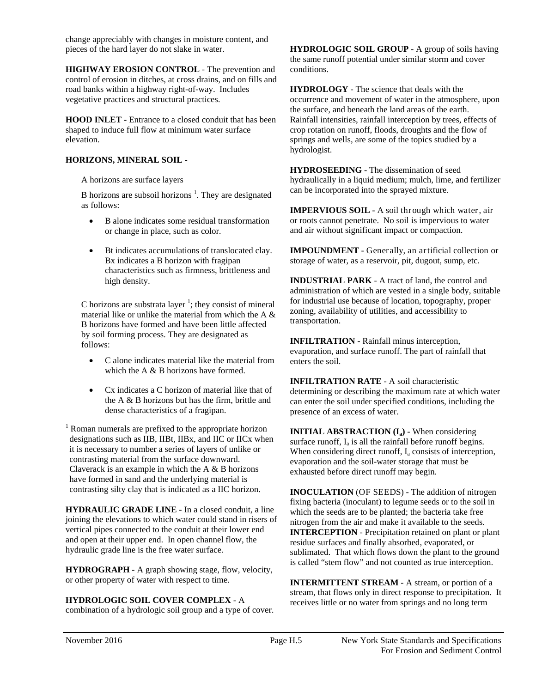change appreciably with changes in moisture content, and pieces of the hard layer do not slake in water.

 control of erosion in ditches, at cross drains, and on fills and **HIGHWAY EROSION CONTROL** - The prevention and road banks within a highway right-of-way. Includes vegetative practices and structural practices.

**HOOD INLET** - Entrance to a closed conduit that has been shaped to induce full flow at minimum water surface elevation.

#### **HORIZONS, MINERAL SOIL** -

A horizons are surface layers

B horizons are subsoil horizons  $<sup>1</sup>$ . They are designated</sup> as follows:

- B alone indicates some residual transformation or change in place, such as color.
- Bt indicates accumulations of translocated clay. Bx indicates a B horizon with fragipan characteristics such as firmness, brittleness and high density.

C horizons are substrata layer<sup>1</sup>; they consist of mineral material like or unlike the material from which the A & B horizons have formed and have been little affected by soil forming process. They are designated as follows:

- C alone indicates material like the material from which the A  $\&$  B horizons have formed.
- Cx indicates a C horizon of material like that of the A & B horizons but has the firm, brittle and dense characteristics of a fragipan.

 designations such as IIB, IIBt, IIBx, and IIC or IICx when <sup>1</sup> Roman numerals are prefixed to the appropriate horizon it is necessary to number a series of layers of unlike or contrasting material from the surface downward. Claverack is an example in which the A & B horizons have formed in sand and the underlying material is contrasting silty clay that is indicated as a IIC horizon.

**HYDRAULIC GRADE LINE** - In a closed conduit, a line joining the elevations to which water could stand in risers of vertical pipes connected to the conduit at their lower end and open at their upper end. In open channel flow, the hydraulic grade line is the free water surface.

**HYDROGRAPH** - A graph showing stage, flow, velocity, or other property of water with respect to time.

#### **HYDROLOGIC SOIL COVER COMPLEX** - A

combination of a hydrologic soil group and a type of cover.

 **HYDROLOGIC SOIL GROUP** - A group of soils having the same runoff potential under similar storm and cover conditions.

**HYDROLOGY** - The science that deals with the occurrence and movement of water in the atmosphere, upon the surface, and beneath the land areas of the earth. Rainfall intensities, rainfall interception by trees, effects of crop rotation on runoff, floods, droughts and the flow of springs and wells, are some of the topics studied by a hydrologist.

**HYDROSEEDING** - The dissemination of seed hydraulically in a liquid medium; mulch, lime, and fertilizer can be incorporated into the sprayed mixture.

 **IMPERVIOUS SOIL -** A soil through which water, air or roots cannot penetrate. No soil is impervious to water and air without significant impact or compaction.

 **IMPOUNDMENT -** Generally, an artificial collection or storage of water, as a reservoir, pit, dugout, sump, etc.

**INDUSTRIAL PARK** - A tract of land, the control and administration of which are vested in a single body, suitable for industrial use because of location, topography, proper zoning, availability of utilities, and accessibility to transportation.

**INFILTRATION** - Rainfall minus interception, evaporation, and surface runoff. The part of rainfall that enters the soil.

**INFILTRATION RATE** - A soil characteristic determining or describing the maximum rate at which water can enter the soil under specified conditions, including the presence of an excess of water.

**INITIAL ABSTRACTION (I<sub>a</sub>) - When considering** surface runoff,  $I_a$  is all the rainfall before runoff begins. When considering direct runoff, I<sub>a</sub> consists of interception, evaporation and the soil-water storage that must be exhausted before direct runoff may begin.

 residue surfaces and finally absorbed, evaporated, or **INOCULATION** (OF SEEDS) - The addition of nitrogen fixing bacteria (inoculant) to legume seeds or to the soil in which the seeds are to be planted; the bacteria take free nitrogen from the air and make it available to the seeds. **INTERCEPTION** - Precipitation retained on plant or plant sublimated. That which flows down the plant to the ground is called "stem flow" and not counted as true interception.

**INTERMITTENT STREAM** - A stream, or portion of a stream, that flows only in direct response to precipitation. It receives little or no water from springs and no long term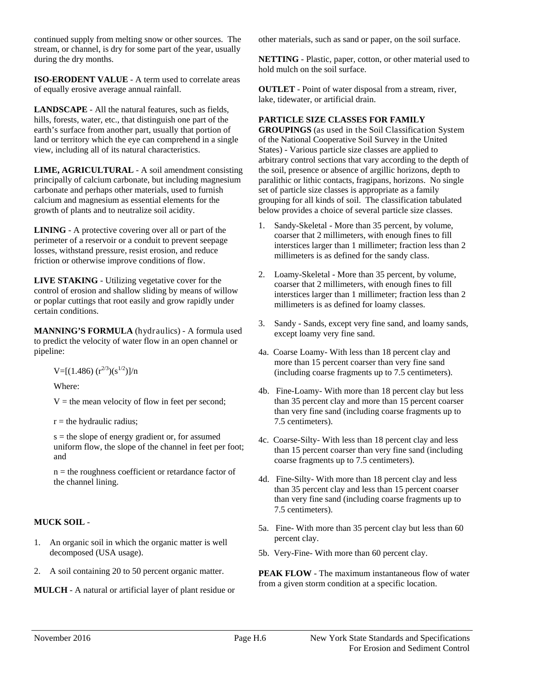stream, or channel, is dry for some part of the year, usually continued supply from melting snow or other sources. The during the dry months.

**ISO-ERODENT VALUE** - A term used to correlate areas of equally erosive average annual rainfall.

**LANDSCAPE** - All the natural features, such as fields, hills, forests, water, etc., that distinguish one part of the earth's surface from another part, usually that portion of land or territory which the eye can comprehend in a single view, including all of its natural characteristics.

**LIME, AGRICULTURAL** - A soil amendment consisting principally of calcium carbonate, but including magnesium carbonate and perhaps other materials, used to furnish calcium and magnesium as essential elements for the growth of plants and to neutralize soil acidity.

 **LINING** - A protective covering over all or part of the perimeter of a reservoir or a conduit to prevent seepage losses, withstand pressure, resist erosion, and reduce friction or otherwise improve conditions of flow.

 **LIVE STAKING** - Utilizing vegetative cover for the control of erosion and shallow sliding by means of willow or poplar cuttings that root easily and grow rapidly under certain conditions.

pipeline: **MANNING'S FORMULA** (hydraulics) - A formula used to predict the velocity of water flow in an open channel or

pipeline:<br>  $V=[(1.486) (r^{2/3})(s^{1/2})]/n$ <br>
Where:

 $V =$  the mean velocity of flow in feet per second;

 $r =$  the hydraulic radius;

 uniform flow, the slope of the channel in feet per foot;  $s =$  the slope of energy gradient or, for assumed and

n = the roughness coefficient or retardance factor of the channel lining.

#### **MUCK SOIL** -

- $1_{-}$ 1.An organic soil in which the organic matter is well decomposed (USA usage).
- 2.A soil containing 20 to 50 percent organic matter.

**MULCH** - A natural or artificial layer of plant residue or

other materials, such as sand or paper, on the soil surface.

**NETTING** - Plastic, paper, cotton, or other material used to hold mulch on the soil surface.

 **OUTLET** - Point of water disposal from a stream, river, lake, tidewater, or artificial drain.

#### **PARTICLE SIZE CLASSES FOR FAMILY**

 **GROUPINGS** (as used in the Soil Classification System of the National Cooperative Soil Survey in the United States) - Various particle size classes are applied to arbitrary control sections that vary according to the depth of the soil, presence or absence of argillic horizons, depth to paralithic or lithic contacts, fragipans, horizons. No single set of particle size classes is appropriate as a family grouping for all kinds of soil. The classification tabulated below provides a choice of several particle size classes.

- coarser that 2 millimeters, with enough fines to fill interstices larger than 1 millimeter; fraction less than 2 1. Sandy-Skeletal - More than 35 percent, by volume, millimeters is as defined for the sandy class.
- coarser that 2 millimeters, with enough fines to fill interstices larger than 1 millimeter; fraction less than 2 2. Loamy-Skeletal - More than 35 percent, by volume, millimeters is as defined for loamy classes.
- 3. Sandy Sands, except very fine sand, and loamy sands, except loamy very fine sand.
- 4a. Coarse Loamy- With less than 18 percent clay and more than 15 percent coarser than very fine sand (including coarse fragments up to 7.5 centimeters).
- 4b. Fine-Loamy- With more than 18 percent clay but less than 35 percent clay and more than 15 percent coarser than very fine sand (including coarse fragments up to 7.5 centimeters).
- 4c. Coarse-Silty- With less than 18 percent clay and less than 15 percent coarser than very fine sand (including coarse fragments up to 7.5 centimeters).
- 4d. Fine-Silty- With more than 18 percent clay and less than 35 percent clay and less than 15 percent coarser than very fine sand (including coarse fragments up to 7.5 centimeters).
- 5a. Fine- With more than 35 percent clay but less than 60 percent clay.
- 5b. Very-Fine- With more than 60 percent clay.

 **PEAK FLOW** - The maximum instantaneous flow of water from a given storm condition at a specific location.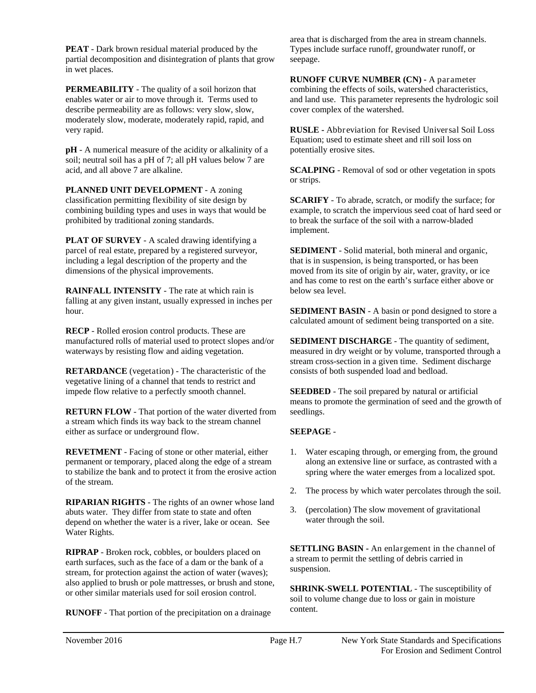**PEAT** - Dark brown residual material produced by the partial decomposition and disintegration of plants that grow in wet places.

**PERMEABILITY** - The quality of a soil horizon that enables water or air to move through it. Terms used to describe permeability are as follows: very slow, slow, moderately slow, moderate, moderately rapid, rapid, and very rapid.

 soil; neutral soil has a pH of 7; all pH values below 7 are **pH** - A numerical measure of the acidity or alkalinity of a acid, and all above 7 are alkaline.

 **PLANNED UNIT DEVELOPMENT** - A zoning classification permitting flexibility of site design by combining building types and uses in ways that would be prohibited by traditional zoning standards.

**PLAT OF SURVEY** - A scaled drawing identifying a parcel of real estate, prepared by a registered surveyor, including a legal description of the property and the dimensions of the physical improvements.

**RAINFALL INTENSITY** - The rate at which rain is falling at any given instant, usually expressed in inches per hour.

 waterways by resisting flow and aiding vegetation. **RECP** - Rolled erosion control products. These are manufactured rolls of material used to protect slopes and/or

**RETARDANCE** (vegetation) - The characteristic of the vegetative lining of a channel that tends to restrict and impede flow relative to a perfectly smooth channel.

 **RETURN FLOW** - That portion of the water diverted from a stream which finds its way back to the stream channel either as surface or underground flow.

**REVETMENT** - Facing of stone or other material, either permanent or temporary, placed along the edge of a stream to stabilize the bank and to protect it from the erosive action of the stream.

**RIPARIAN RIGHTS** - The rights of an owner whose land abuts water. They differ from state to state and often depend on whether the water is a river, lake or ocean. See Water Rights.

**RIPRAP** - Broken rock, cobbles, or boulders placed on earth surfaces, such as the face of a dam or the bank of a stream, for protection against the action of water (waves); also applied to brush or pole mattresses, or brush and stone, or other similar materials used for soil erosion control.

**RUNOFF** - That portion of the precipitation on a drainage RUNOFF - That portion of the precipitation on a drainage content.<br>
Page H.7 New York State Standards and Specifications

area that is discharged from the area in stream channels. Types include surface runoff, groundwater runoff, or seepage.

**RUNOFF CURVE NUMBER (CN) -** A parameter combining the effects of soils, watershed characteristics, and land use. This parameter represents the hydrologic soil cover complex of the watershed.

**RUSLE -** Abbreviation for Revised Universal Soil Loss Equation; used to estimate sheet and rill soil loss on potentially erosive sites.

**SCALPING** - Removal of sod or other vegetation in spots or strips.

**SCARIFY** - To abrade, scratch, or modify the surface; for example, to scratch the impervious seed coat of hard seed or to break the surface of the soil with a narrow-bladed implement.

 that is in suspension, is being transported, or has been **SEDIMENT** - Solid material, both mineral and organic, moved from its site of origin by air, water, gravity, or ice and has come to rest on the earth's surface either above or below sea level.

**SEDIMENT BASIN** - A basin or pond designed to store a calculated amount of sediment being transported on a site.

 measured in dry weight or by volume, transported through a consists of both suspended load and bedload. **SEDIMENT DISCHARGE** - The quantity of sediment, stream cross-section in a given time. Sediment discharge

 means to promote the germination of seed and the growth of **SEEDBED** - The soil prepared by natural or artificial seedlings.

#### **SEEPAGE** -

- $1_{-}$ Water escaping through, or emerging from, the ground along an extensive line or surface, as contrasted with a spring where the water emerges from a localized spot.
- 2.The process by which water percolates through the soil.
- 3.(percolation) The slow movement of gravitational water through the soil.

**SETTLING BASIN -** An enlargement in the channel of a stream to permit the settling of debris carried in suspension.

content. **SHRINK-SWELL POTENTIAL - The susceptibility of** soil to volume change due to loss or gain in moisture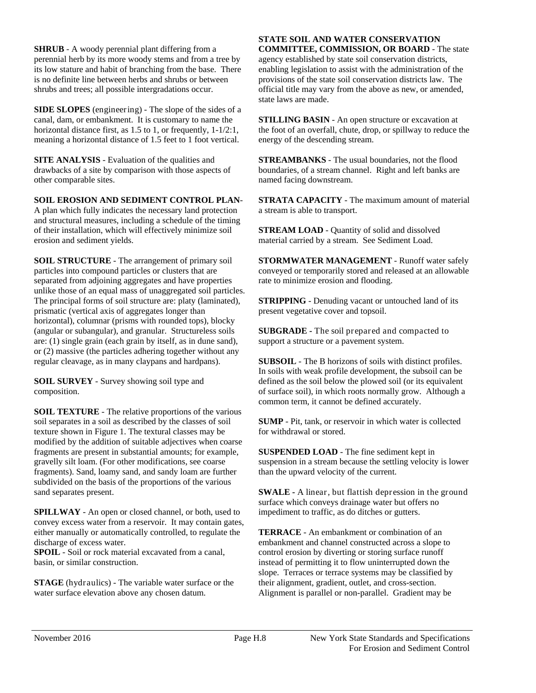perennial herb by its more woody stems and from a tree by<br>its low stature and habit of branching from the base. There<br>is no definite line between herbs and shrubs or between<br>shrubs and trees; all possible intergradations o its low stature and habit of branching from the base. There is no definite line between herbs and shrubs or between shrubs and trees; all possible intergradations occur. **SHRUB** - A woody perennial plant differing from a

horizontal distance first, as 1.5 to 1, or frequently, 1-1/2:1, meaning a horizontal distance of 1.5 feet to 1 foot vertical. horizontal distance first, as  $1.5$  to 1, or frequently,  $1-1/2:1$ , **SIDE SLOPES** (engineering) - The slope of the sides of a canal, dam, or embankment. It is customary to name the

**SITE ANALYSIS** - Evaluation of the qualities and drawbacks of a site by comparison with those aspects of other comparable sites.

 A plan which fully indicates the necessary land protection of their installation, which will effectively minimize soil **SOIL EROSION AND SEDIMENT CONTROL PLAN**and structural measures, including a schedule of the timing erosion and sediment yields.

**SOIL STRUCTURE** - The arrangement of primary soil particles into compound particles or clusters that are horizontal), columnar (prisms with rounded tops), blocky (angular or subangular), and granular. Structureless soils or (2) massive (the particles adhering together without any or (2) massive (the particles adhering together without any regular cleavage, as in many claypans and hardpans). separated from adjoining aggregates and have properties unlike those of an equal mass of unaggregated soil particles. The principal forms of soil structure are: platy (laminated), prismatic (vertical axis of aggregates longer than are: (1) single grain (each grain by itself, as in dune sand), **SIERCE** A boostly procedured paint of the surface of the surface of the surface of the surface of the surface of the surface of the surface of the surface of the surface of the surface of the surface of the surface of th

 composition.**SOIL SURVEY** - Survey showing soil type and

subdivided on the basis of the proportions of the various sand separates present. texture shown in Figure 1. The textural classes may be **SOIL TEXTURE** - The relative proportions of the various soil separates in a soil as described by the classes of soil texture shown in Figure 1. The textural classes may be<br>modified by the addition of suitable adjectives when coarse<br>fragments are present in substantial amounts; for example, gravelly silt loam. (For other modifications, see coarse fragments). Sand, loamy sand, and sandy loam are further

An open or closed channel, or both, used to convey excess water from a reservoir. It may contain gates, either manually or automatically controlled, to regulate the discharge of excess water.

 basin, or similar construction.**SPOIL** - Soil or rock material excavated from a canal,

datum. **STAGE** (hydraulics) - The variable water surface or the

# **COMMITTEE, COMMISSION, OR BOARD** - The state

agency established by state soil conservation districts, enabling legislation to assist with the administration of the provisions of the state soil conservation districts law. The official title may vary from the above as new, or amended, state laws are made.

**STILLING BASIN** - An open structure or excavation at the foot of an overfall, chute, drop, or spillway to reduce the energy of the descending stream.

**STREAMBANKS** - The usual boundaries, not the flood boundaries, of a stream channel. Right and left banks are named facing downstream.

**STRATA CAPACITY** - The maximum amount of material a stream is able to transport.

 **STREAM LOAD** - Quantity of solid and dissolved material carried by a stream. See Sediment Load.

**STORMWATER MANAGEMENT** - Runoff water safely conveyed or temporarily stored and released at an allowable rate to minimize erosion and flooding.

**STRIPPING** - Denuding vacant or untouched land of its present vegetative cover and topsoil.

 **SUBGRADE -** The soil prepared and compacted to support a structure or a pavement system.

 of surface soil), in which roots normally grow. Although a **SUBSOIL** - The B horizons of soils with distinct profiles. In soils with weak profile development, the subsoil can be defined as the soil below the plowed soil (or its equivalent common term, it cannot be defined accurately.

 **SUMP** - Pit, tank, or reservoir in which water is collected for withdrawal or stored.

**SUSPENDED LOAD** - The fine sediment kept in suspension in a stream because the settling velocity is lower than the upward velocity of the current.

 **SWALE -** A linear, but flattish depression in the ground impediment to traffic, as do ditches or gutters. surface which conveys drainage water but offers no

 instead of permitting it to flow uninterrupted down the their alignment, gradient, outlet, and cross-section. **TERRACE** - An embankment or combination of an embankment and channel constructed across a slope to control erosion by diverting or storing surface runoff slope. Terraces or terrace systems may be classified by Alignment is parallel or non-parallel. Gradient may be